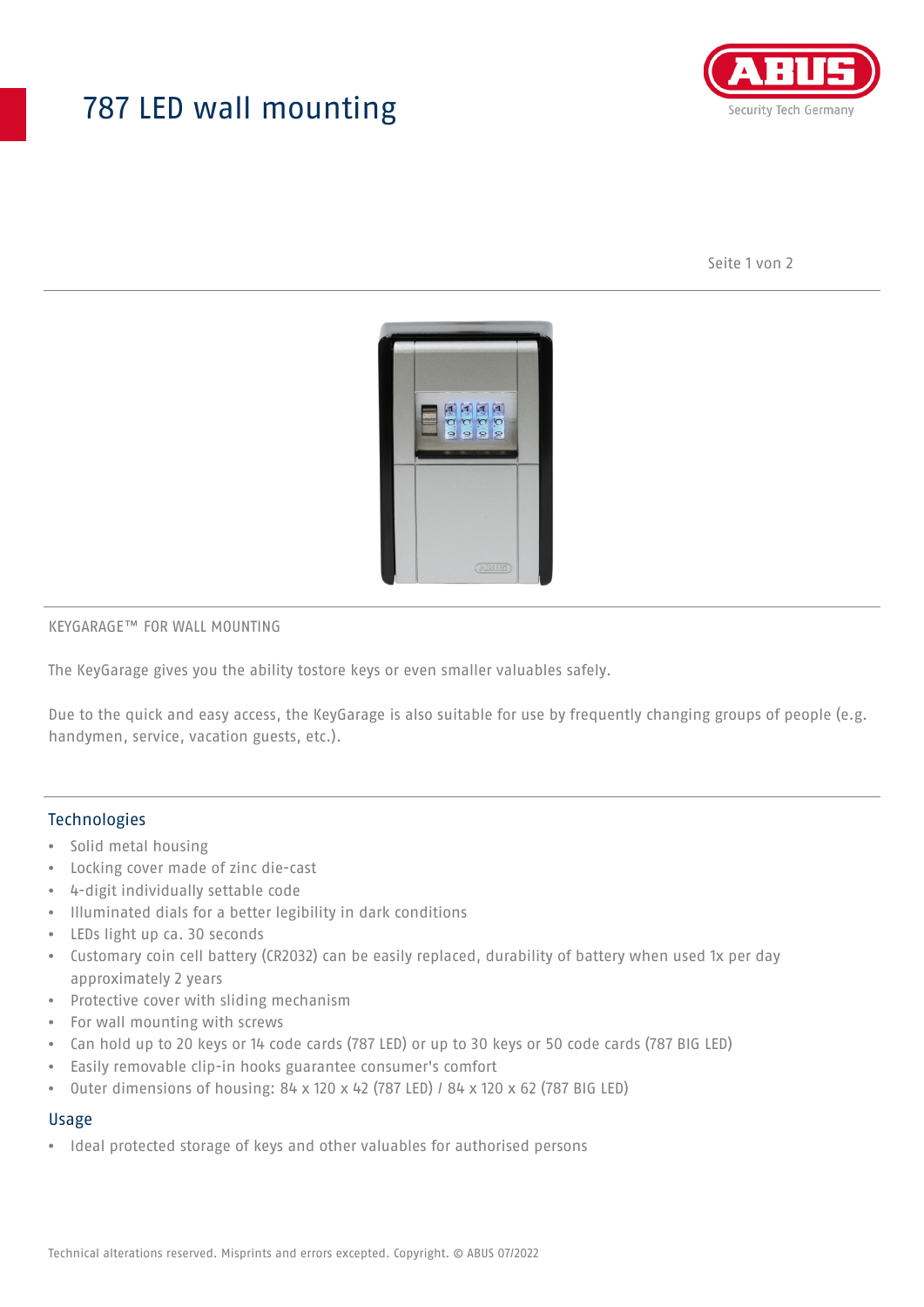# 787 LED wall mounting



Seite 1 von 2



### KEYGARAGE™ FOR WALL MOUNTING

The KeyGarage gives you the ability tostore keys or even smaller valuables safely.

Due to the quick and easy access, the KeyGarage is also suitable for use by frequently changing groups of people (e.g. handymen, service, vacation guests, etc.).

### **Technologies**

- Solid metal housing
- Locking cover made of zinc die-cast
- 4-digit individually settable code
- Illuminated dials for a better legibility in dark conditions
- LEDs light up ca. 30 seconds
- Customary coin cell battery (CR2032) can be easily replaced, durability of battery when used 1x per day approximately 2 years
- Protective cover with sliding mechanism
- For wall mounting with screws
- Can hold up to 20 keys or 14 code cards (787 LED) or up to 30 keys or 50 code cards (787 BIG LED)
- Easily removable clip-in hooks guarantee consumer's comfort
- Outer dimensions of housing: 84 x 120 x 42 (787 LED) / 84 x 120 x 62 (787 BIG LED)

### Usage

• Ideal protected storage of keys and other valuables for authorised persons